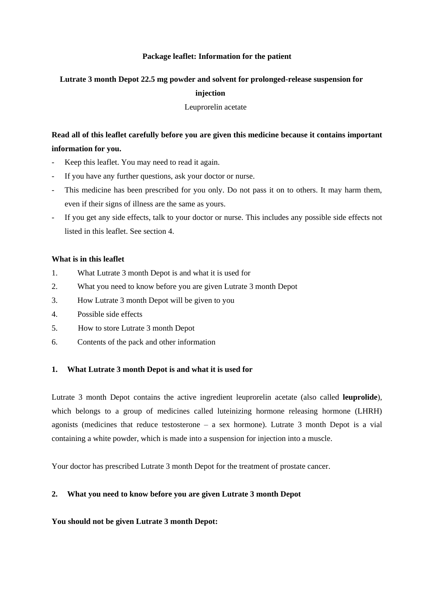## **Package leaflet: Information for the patient**

#### **Lutrate 3 month Depot 22.5 mg powder and solvent for prolonged-release suspension for**

## **injection**

Leuprorelin acetate

# **Read all of this leaflet carefully before you are given this medicine because it contains important information for you.**

- Keep this leaflet. You may need to read it again.
- If you have any further questions, ask your doctor or nurse.
- This medicine has been prescribed for you only. Do not pass it on to others. It may harm them, even if their signs of illness are the same as yours.
- If you get any side effects, talk to your doctor or nurse. This includes any possible side effects not listed in this leaflet. See section 4.

## **What is in this leaflet**

- 1. What Lutrate 3 month Depot is and what it is used for
- 2. What you need to know before you are given Lutrate 3 month Depot
- 3. How Lutrate 3 month Depot will be given to you
- 4. Possible side effects
- 5. How to store Lutrate 3 month Depot
- 6. Contents of the pack and other information

#### **1. What Lutrate 3 month Depot is and what it is used for**

Lutrate 3 month Depot contains the active ingredient leuprorelin acetate (also called **leuprolide**), which belongs to a group of medicines called luteinizing hormone releasing hormone (LHRH) agonists (medicines that reduce testosterone – a sex hormone). Lutrate 3 month Depot is a vial containing a white powder, which is made into a suspension for injection into a muscle.

Your doctor has prescribed Lutrate 3 month Depot for the treatment of prostate cancer.

# **2. What you need to know before you are given Lutrate 3 month Depot**

#### **You should not be given Lutrate 3 month Depot:**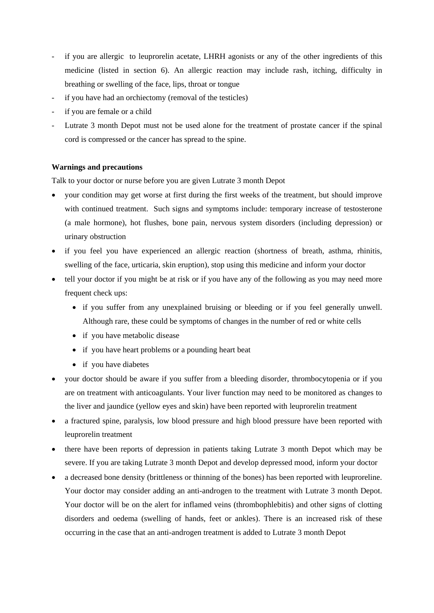- if you are allergic to leuprorelin acetate, LHRH agonists or any of the other ingredients of this medicine (listed in section 6). An allergic reaction may include rash, itching, difficulty in breathing or swelling of the face, lips, throat or tongue
- if you have had an orchiectomy (removal of the testicles)
- if you are female or a child
- Lutrate 3 month Depot must not be used alone for the treatment of prostate cancer if the spinal cord is compressed or the cancer has spread to the spine.

#### **Warnings and precautions**

Talk to your doctor or nurse before you are given Lutrate 3 month Depot

- your condition may get worse at first during the first weeks of the treatment, but should improve with continued treatment. Such signs and symptoms include: temporary increase of testosterone (a male hormone), hot flushes, bone pain, nervous system disorders (including depression) or urinary obstruction
- if you feel you have experienced an allergic reaction (shortness of breath, asthma, rhinitis, swelling of the face, urticaria, skin eruption), stop using this medicine and inform your doctor
- tell your doctor if you might be at risk or if you have any of the following as you may need more frequent check ups:
	- if you suffer from any unexplained bruising or bleeding or if you feel generally unwell. Although rare, these could be symptoms of changes in the number of red or white cells
	- if you have metabolic disease
	- if you have heart problems or a pounding heart beat
	- if you have diabetes
- your doctor should be aware if you suffer from a bleeding disorder, thrombocytopenia or if you are on treatment with anticoagulants. Your liver function may need to be monitored as changes to the liver and jaundice (yellow eyes and skin) have been reported with leuprorelin treatment
- a fractured spine, paralysis, low blood pressure and high blood pressure have been reported with leuprorelin treatment
- there have been reports of depression in patients taking Lutrate 3 month Depot which may be severe. If you are taking Lutrate 3 month Depot and develop depressed mood, inform your doctor
- a decreased bone density (brittleness or thinning of the bones) has been reported with leuproreline. Your doctor may consider adding an anti-androgen to the treatment with Lutrate 3 month Depot. Your doctor will be on the alert for inflamed veins (thrombophlebitis) and other signs of clotting disorders and oedema (swelling of hands, feet or ankles). There is an increased risk of these occurring in the case that an anti-androgen treatment is added to Lutrate 3 month Depot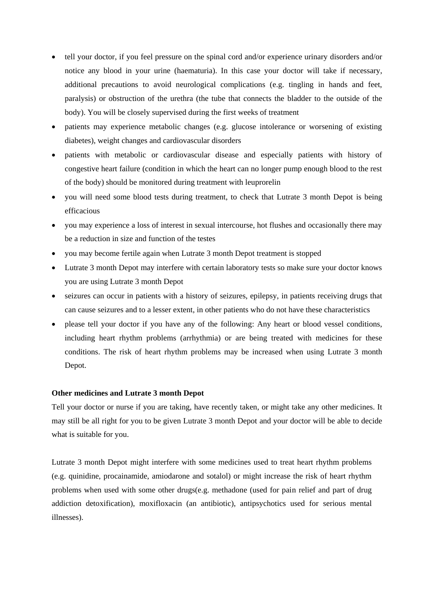- tell your doctor, if you feel pressure on the spinal cord and/or experience urinary disorders and/or notice any blood in your urine (haematuria). In this case your doctor will take if necessary, additional precautions to avoid neurological complications (e.g. tingling in hands and feet, paralysis) or obstruction of the urethra (the tube that connects the bladder to the outside of the body). You will be closely supervised during the first weeks of treatment
- patients may experience metabolic changes (e.g. glucose intolerance or worsening of existing diabetes), weight changes and cardiovascular disorders
- patients with metabolic or cardiovascular disease and especially patients with history of congestive heart failure (condition in which the heart can no longer pump enough blood to the rest of the body) should be monitored during treatment with leuprorelin
- you will need some blood tests during treatment, to check that Lutrate 3 month Depot is being efficacious
- you may experience a loss of interest in sexual intercourse, hot flushes and occasionally there may be a reduction in size and function of the testes
- you may become fertile again when Lutrate 3 month Depot treatment is stopped
- Lutrate 3 month Depot may interfere with certain laboratory tests so make sure your doctor knows you are using Lutrate 3 month Depot
- seizures can occur in patients with a history of seizures, epilepsy, in patients receiving drugs that can cause seizures and to a lesser extent, in other patients who do not have these characteristics
- please tell your doctor if you have any of the following: Any heart or blood vessel conditions, including heart rhythm problems (arrhythmia) or are being treated with medicines for these conditions. The risk of heart rhythm problems may be increased when using Lutrate 3 month Depot.

#### **Other medicines and Lutrate 3 month Depot**

Tell your doctor or nurse if you are taking, have recently taken, or might take any other medicines. It may still be all right for you to be given Lutrate 3 month Depot and your doctor will be able to decide what is suitable for you.

Lutrate 3 month Depot might interfere with some medicines used to treat heart rhythm problems (e.g. quinidine, procainamide, amiodarone and sotalol) or might increase the risk of heart rhythm problems when used with some other drugs(e.g. methadone (used for pain relief and part of drug addiction detoxification), moxifloxacin (an antibiotic), antipsychotics used for serious mental illnesses).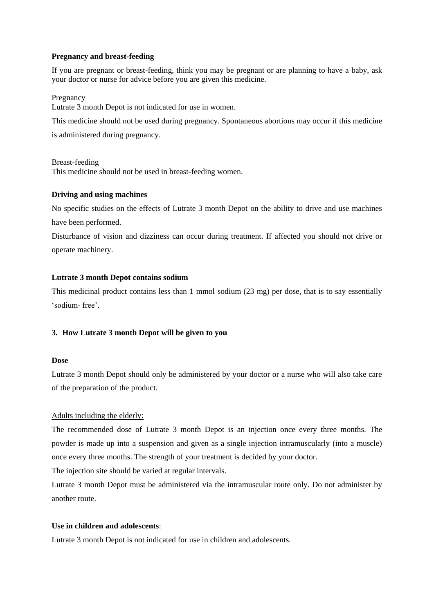#### **Pregnancy and breast-feeding**

If you are pregnant or breast-feeding, think you may be pregnant or are planning to have a baby, ask your doctor or nurse for advice before you are given this medicine.

#### Pregnancy

Lutrate 3 month Depot is not indicated for use in women.

This medicine should not be used during pregnancy. Spontaneous abortions may occur if this medicine

is administered during pregnancy.

Breast-feeding This medicine should not be used in breast-feeding women.

#### **Driving and using machines**

No specific studies on the effects of Lutrate 3 month Depot on the ability to drive and use machines have been performed.

Disturbance of vision and dizziness can occur during treatment. If affected you should not drive or operate machinery.

#### **Lutrate 3 month Depot contains sodium**

This medicinal product contains less than 1 mmol sodium (23 mg) per dose, that is to say essentially 'sodium- free'.

#### **3. How Lutrate 3 month Depot will be given to you**

#### **Dose**

Lutrate 3 month Depot should only be administered by your doctor or a nurse who will also take care of the preparation of the product.

#### Adults including the elderly:

The recommended dose of Lutrate 3 month Depot is an injection once every three months. The powder is made up into a suspension and given as a single injection intramuscularly (into a muscle) once every three months. The strength of your treatment is decided by your doctor.

The injection site should be varied at regular intervals.

Lutrate 3 month Depot must be administered via the intramuscular route only. Do not administer by another route.

#### **Use in children and adolescents**:

Lutrate 3 month Depot is not indicated for use in children and adolescents.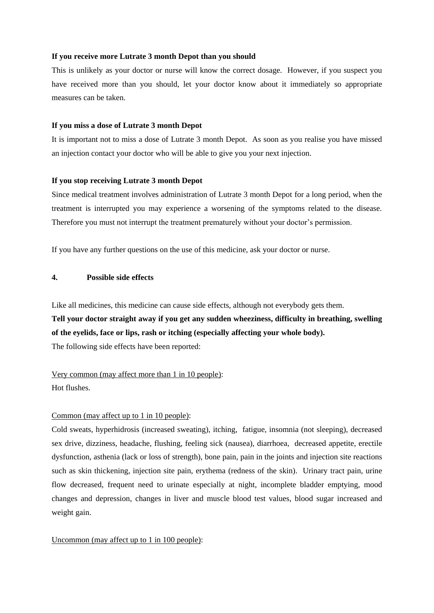#### **If you receive more Lutrate 3 month Depot than you should**

This is unlikely as your doctor or nurse will know the correct dosage. However, if you suspect you have received more than you should, let your doctor know about it immediately so appropriate measures can be taken.

#### **If you miss a dose of Lutrate 3 month Depot**

It is important not to miss a dose of Lutrate 3 month Depot. As soon as you realise you have missed an injection contact your doctor who will be able to give you your next injection.

#### **If you stop receiving Lutrate 3 month Depot**

Since medical treatment involves administration of Lutrate 3 month Depot for a long period, when the treatment is interrupted you may experience a worsening of the symptoms related to the disease. Therefore you must not interrupt the treatment prematurely without your doctor's permission.

If you have any further questions on the use of this medicine, ask your doctor or nurse.

#### **4. Possible side effects**

Like all medicines, this medicine can cause side effects, although not everybody gets them. **Tell your doctor straight away if you get any sudden wheeziness, difficulty in breathing, swelling of the eyelids, face or lips, rash or itching (especially affecting your whole body).**

The following side effects have been reported:

#### Very common (may affect more than 1 in 10 people):

Hot flushes.

#### Common (may affect up to 1 in 10 people):

Cold sweats, hyperhidrosis (increased sweating), itching, fatigue, insomnia (not sleeping), decreased sex drive, dizziness, headache, flushing, feeling sick (nausea), diarrhoea, decreased appetite, erectile dysfunction, asthenia (lack or loss of strength), bone pain, pain in the joints and injection site reactions such as skin thickening, injection site pain, erythema (redness of the skin). Urinary tract pain, urine flow decreased, frequent need to urinate especially at night, incomplete bladder emptying, mood changes and depression, changes in liver and muscle blood test values, blood sugar increased and weight gain.

#### Uncommon (may affect up to 1 in 100 people):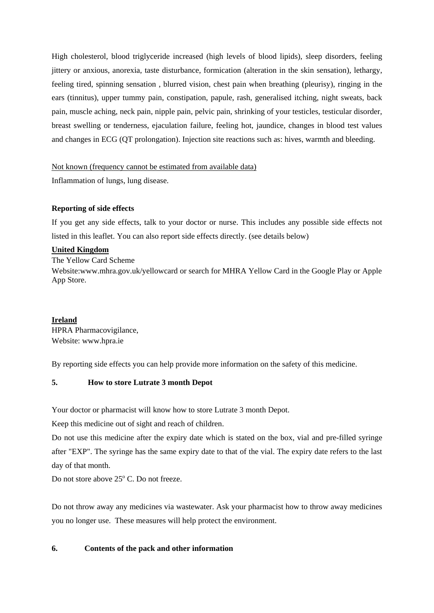High cholesterol, blood triglyceride increased (high levels of blood lipids), sleep disorders, feeling jittery or anxious, anorexia, taste disturbance, formication (alteration in the skin sensation), lethargy, feeling tired, spinning sensation , blurred vision, chest pain when breathing (pleurisy), ringing in the ears (tinnitus), upper tummy pain, constipation, papule, rash, generalised itching, night sweats, back pain, muscle aching, neck pain, nipple pain, pelvic pain, shrinking of your testicles, testicular disorder, breast swelling or tenderness, ejaculation failure, feeling hot, jaundice, changes in blood test values and changes in ECG (QT prolongation). Injection site reactions such as: hives, warmth and bleeding.

## Not known (frequency cannot be estimated from available data)

Inflammation of lungs, lung disease.

## **Reporting of side effects**

If you get any side effects, talk to your doctor or nurse. This includes any possible side effects not listed in this leaflet. You can also report side effects directly. (see details below)

## **United Kingdom**

The Yellow Card Scheme

Website:www.mhra.gov.uk/yellowcard or search for MHRA Yellow Card in the Google Play or Apple App Store.

# **Ireland**

HPRA Pharmacovigilance, Website: www.hpra.ie

By reporting side effects you can help provide more information on the safety of this medicine.

# **5. How to store Lutrate 3 month Depot**

Your doctor or pharmacist will know how to store Lutrate 3 month Depot.

Keep this medicine out of sight and reach of children.

Do not use this medicine after the expiry date which is stated on the box, vial and pre-filled syringe after "EXP". The syringe has the same expiry date to that of the vial. The expiry date refers to the last day of that month.

Do not store above 25° C. Do not freeze.

Do not throw away any medicines via wastewater. Ask your pharmacist how to throw away medicines you no longer use. These measures will help protect the environment.

# **6. Contents of the pack and other information**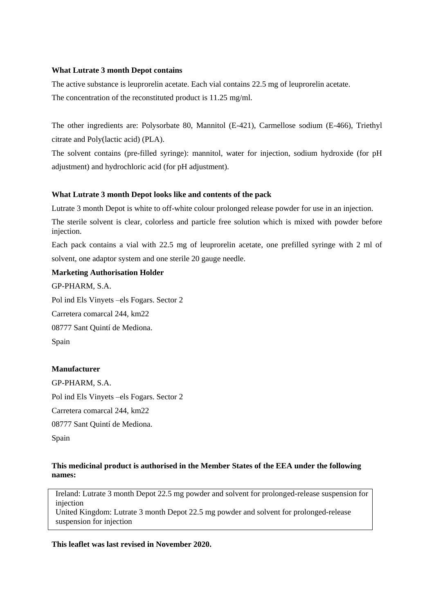#### **What Lutrate 3 month Depot contains**

The active substance is leuprorelin acetate. Each vial contains 22.5 mg of leuprorelin acetate. The concentration of the reconstituted product is 11.25 mg/ml.

The other ingredients are: Polysorbate 80, Mannitol (E-421), Carmellose sodium (E-466), Triethyl citrate and Poly(lactic acid) (PLA).

The solvent contains (pre-filled syringe): mannitol, water for injection, sodium hydroxide (for pH adjustment) and hydrochloric acid (for pH adjustment).

## **What Lutrate 3 month Depot looks like and contents of the pack**

Lutrate 3 month Depot is white to off-white colour prolonged release powder for use in an injection.

The sterile solvent is clear, colorless and particle free solution which is mixed with powder before injection.

Each pack contains a vial with 22.5 mg of leuprorelin acetate, one prefilled syringe with 2 ml of solvent, one adaptor system and one sterile 20 gauge needle.

# **Marketing Authorisation Holder**

GP-PHARM, S.A. Pol ind Els Vinyets –els Fogars. Sector 2

Carretera comarcal 244, km22

08777 Sant Quintí de Mediona.

Spain

Spain

# **Manufacturer**

GP-PHARM, S.A. Pol ind Els Vinyets –els Fogars. Sector 2 Carretera comarcal 244, km22 08777 Sant Quintí de Mediona.

**This medicinal product is authorised in the Member States of the EEA under the following names:**

Ireland: Lutrate 3 month Depot 22.5 mg powder and solvent for prolonged-release suspension for injection

United Kingdom: Lutrate 3 month Depot 22.5 mg powder and solvent for prolonged-release suspension for injection

**This leaflet was last revised in November 2020.**